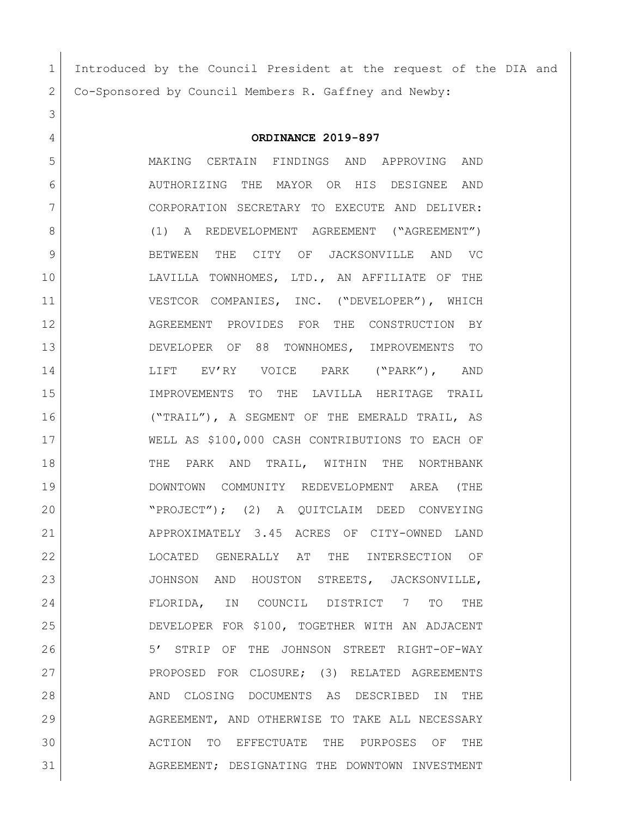Introduced by the Council President at the request of the DIA and Co-Sponsored by Council Members R. Gaffney and Newby:

## **ORDINANCE 2019-897**

 MAKING CERTAIN FINDINGS AND APPROVING AND AUTHORIZING THE MAYOR OR HIS DESIGNEE AND CORPORATION SECRETARY TO EXECUTE AND DELIVER: 8 (1) A REDEVELOPMENT AGREEMENT ("AGREEMENT") BETWEEN THE CITY OF JACKSONVILLE AND VC LAVILLA TOWNHOMES, LTD., AN AFFILIATE OF THE VESTCOR COMPANIES, INC. ("DEVELOPER"), WHICH 12 AGREEMENT PROVIDES FOR THE CONSTRUCTION BY DEVELOPER OF 88 TOWNHOMES, IMPROVEMENTS TO LIFT EV'RY VOICE PARK ("PARK"), AND IMPROVEMENTS TO THE LAVILLA HERITAGE TRAIL ("TRAIL"), A SEGMENT OF THE EMERALD TRAIL, AS WELL AS \$100,000 CASH CONTRIBUTIONS TO EACH OF 18 THE PARK AND TRAIL, WITHIN THE NORTHBANK DOWNTOWN COMMUNITY REDEVELOPMENT AREA (THE "PROJECT"); (2) A QUITCLAIM DEED CONVEYING APPROXIMATELY 3.45 ACRES OF CITY-OWNED LAND LOCATED GENERALLY AT THE INTERSECTION OF JOHNSON AND HOUSTON STREETS, JACKSONVILLE, FLORIDA, IN COUNCIL DISTRICT 7 TO THE DEVELOPER FOR \$100, TOGETHER WITH AN ADJACENT 5' STRIP OF THE JOHNSON STREET RIGHT-OF-WAY 27 PROPOSED FOR CLOSURE; (3) RELATED AGREEMENTS 28 AND CLOSING DOCUMENTS AS DESCRIBED IN THE 29 AGREEMENT, AND OTHERWISE TO TAKE ALL NECESSARY ACTION TO EFFECTUATE THE PURPOSES OF THE 31 AGREEMENT; DESIGNATING THE DOWNTOWN INVESTMENT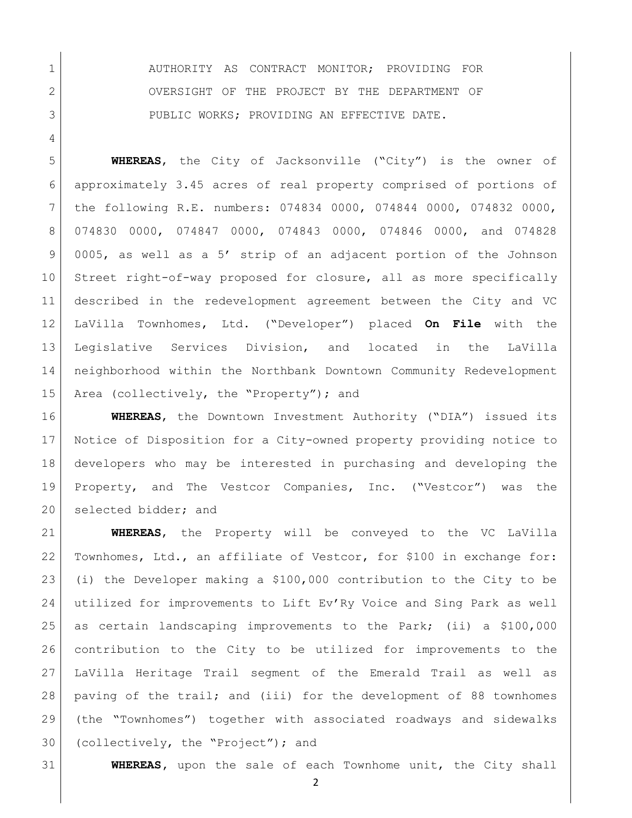AUTHORITY AS CONTRACT MONITOR; PROVIDING FOR 2 OVERSIGHT OF THE PROJECT BY THE DEPARTMENT OF 3 PUBLIC WORKS; PROVIDING AN EFFECTIVE DATE.

 **WHEREAS**, the City of Jacksonville ("City") is the owner of approximately 3.45 acres of real property comprised of portions of the following R.E. numbers: 074834 0000, 074844 0000, 074832 0000, 074830 0000, 074847 0000, 074843 0000, 074846 0000, and 074828 0005, as well as a 5' strip of an adjacent portion of the Johnson Street right-of-way proposed for closure, all as more specifically described in the redevelopment agreement between the City and VC LaVilla Townhomes, Ltd. ("Developer") placed **On File** with the Legislative Services Division, and located in the LaVilla neighborhood within the Northbank Downtown Community Redevelopment 15 Area (collectively, the "Property"); and

 **WHEREAS**, the Downtown Investment Authority ("DIA") issued its Notice of Disposition for a City-owned property providing notice to developers who may be interested in purchasing and developing the Property, and The Vestcor Companies, Inc. ("Vestcor") was the 20 selected bidder; and

 **WHEREAS**, the Property will be conveyed to the VC LaVilla Townhomes, Ltd., an affiliate of Vestcor, for \$100 in exchange for: (i) the Developer making a \$100,000 contribution to the City to be utilized for improvements to Lift Ev'Ry Voice and Sing Park as well as certain landscaping improvements to the Park; (ii) a \$100,000 contribution to the City to be utilized for improvements to the LaVilla Heritage Trail segment of the Emerald Trail as well as paving of the trail; and (iii) for the development of 88 townhomes (the "Townhomes") together with associated roadways and sidewalks (collectively, the "Project"); and

**WHEREAS,** upon the sale of each Townhome unit, the City shall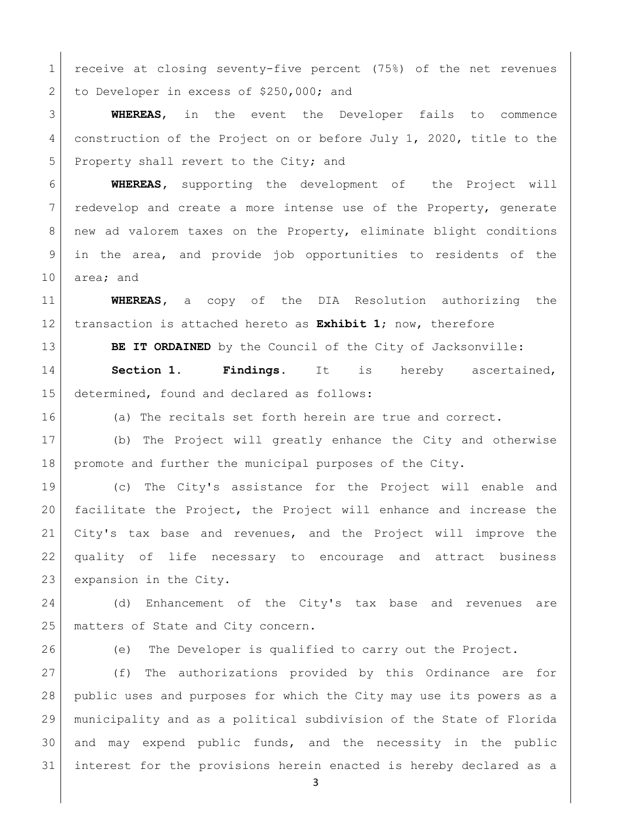receive at closing seventy-five percent (75%) of the net revenues 2 to Developer in excess of \$250,000; and

 **WHEREAS**, in the event the Developer fails to commence construction of the Project on or before July 1, 2020, title to the 5 Property shall revert to the City; and

 **WHEREAS,** supporting the development of the Project will redevelop and create a more intense use of the Property, generate 8 | new ad valorem taxes on the Property, eliminate blight conditions in the area, and provide job opportunities to residents of the area; and

 **WHEREAS,** a copy of the DIA Resolution authorizing the transaction is attached hereto as **Exhibit 1**; now, therefore

**BE IT ORDAINED** by the Council of the City of Jacksonville:

 **Section 1. Findings.** It is hereby ascertained, determined, found and declared as follows:

(a) The recitals set forth herein are true and correct.

 (b) The Project will greatly enhance the City and otherwise promote and further the municipal purposes of the City.

 (c) The City's assistance for the Project will enable and facilitate the Project, the Project will enhance and increase the City's tax base and revenues, and the Project will improve the quality of life necessary to encourage and attract business 23 expansion in the City.

 (d) Enhancement of the City's tax base and revenues are 25 | matters of State and City concern.

(e) The Developer is qualified to carry out the Project.

 (f) The authorizations provided by this Ordinance are for public uses and purposes for which the City may use its powers as a municipality and as a political subdivision of the State of Florida and may expend public funds, and the necessity in the public interest for the provisions herein enacted is hereby declared as a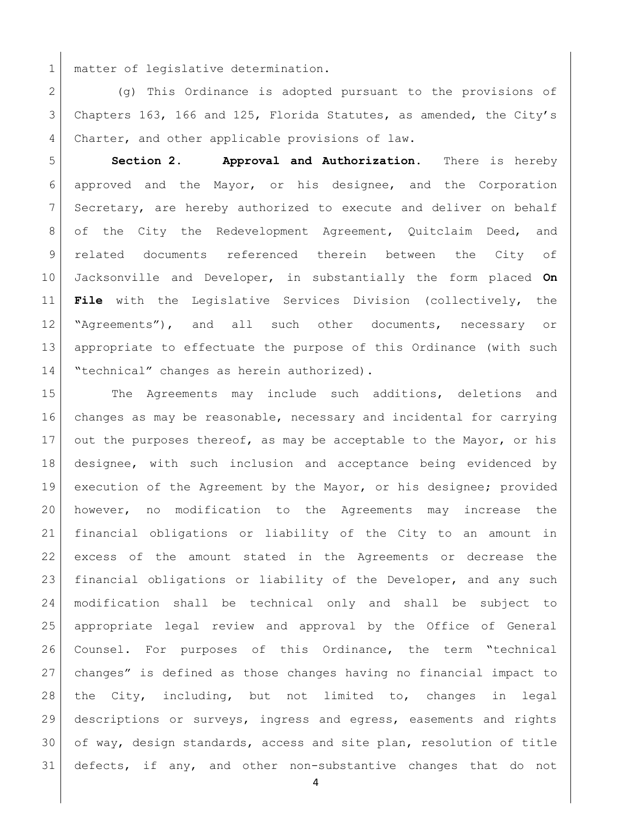matter of legislative determination.

 (g) This Ordinance is adopted pursuant to the provisions of Chapters 163, 166 and 125, Florida Statutes, as amended, the City's Charter, and other applicable provisions of law.

 **Section 2. Approval and Authorization.** There is hereby approved and the Mayor, or his designee, and the Corporation Secretary, are hereby authorized to execute and deliver on behalf of the City the Redevelopment Agreement, Quitclaim Deed, and related documents referenced therein between the City of Jacksonville and Developer, in substantially the form placed **On File** with the Legislative Services Division (collectively, the "Agreements"), and all such other documents, necessary or appropriate to effectuate the purpose of this Ordinance (with such 14 | "technical" changes as herein authorized).

 The Agreements may include such additions, deletions and changes as may be reasonable, necessary and incidental for carrying 17 out the purposes thereof, as may be acceptable to the Mayor, or his designee, with such inclusion and acceptance being evidenced by execution of the Agreement by the Mayor, or his designee; provided however, no modification to the Agreements may increase the financial obligations or liability of the City to an amount in excess of the amount stated in the Agreements or decrease the financial obligations or liability of the Developer, and any such modification shall be technical only and shall be subject to appropriate legal review and approval by the Office of General Counsel. For purposes of this Ordinance, the term "technical changes" is defined as those changes having no financial impact to the City, including, but not limited to, changes in legal descriptions or surveys, ingress and egress, easements and rights of way, design standards, access and site plan, resolution of title defects, if any, and other non-substantive changes that do not